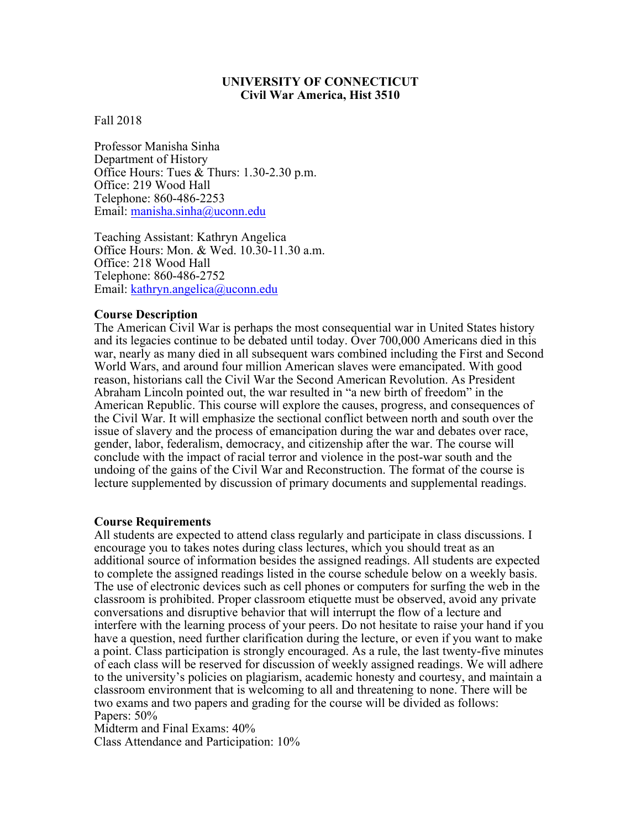#### **UNIVERSITY OF CONNECTICUT Civil War America, Hist 3510**

#### Fall 2018

Professor Manisha Sinha Department of History Office Hours: Tues & Thurs: 1.30-2.30 p.m. Office: 219 Wood Hall Telephone: 860-486-2253 Email: manisha.sinha@uconn.edu

Teaching Assistant: Kathryn Angelica Office Hours: Mon. & Wed. 10.30-11.30 a.m. Office: 218 Wood Hall Telephone: 860-486-2752 Email: kathryn.angelica@uconn.edu

#### **Course Description**

The American Civil War is perhaps the most consequential war in United States history and its legacies continue to be debated until today. Over 700,000 Americans died in this war, nearly as many died in all subsequent wars combined including the First and Second World Wars, and around four million American slaves were emancipated. With good reason, historians call the Civil War the Second American Revolution. As President Abraham Lincoln pointed out, the war resulted in "a new birth of freedom" in the American Republic. This course will explore the causes, progress, and consequences of the Civil War. It will emphasize the sectional conflict between north and south over the issue of slavery and the process of emancipation during the war and debates over race, gender, labor, federalism, democracy, and citizenship after the war. The course will conclude with the impact of racial terror and violence in the post-war south and the undoing of the gains of the Civil War and Reconstruction. The format of the course is lecture supplemented by discussion of primary documents and supplemental readings.

#### **Course Requirements**

All students are expected to attend class regularly and participate in class discussions. I encourage you to takes notes during class lectures, which you should treat as an additional source of information besides the assigned readings. All students are expected to complete the assigned readings listed in the course schedule below on a weekly basis. The use of electronic devices such as cell phones or computers for surfing the web in the classroom is prohibited. Proper classroom etiquette must be observed, avoid any private conversations and disruptive behavior that will interrupt the flow of a lecture and interfere with the learning process of your peers. Do not hesitate to raise your hand if you have a question, need further clarification during the lecture, or even if you want to make a point. Class participation is strongly encouraged. As a rule, the last twenty-five minutes of each class will be reserved for discussion of weekly assigned readings. We will adhere to the university's policies on plagiarism, academic honesty and courtesy, and maintain a classroom environment that is welcoming to all and threatening to none. There will be two exams and two papers and grading for the course will be divided as follows: Papers: 50%

Midterm and Final Exams: 40% Class Attendance and Participation: 10%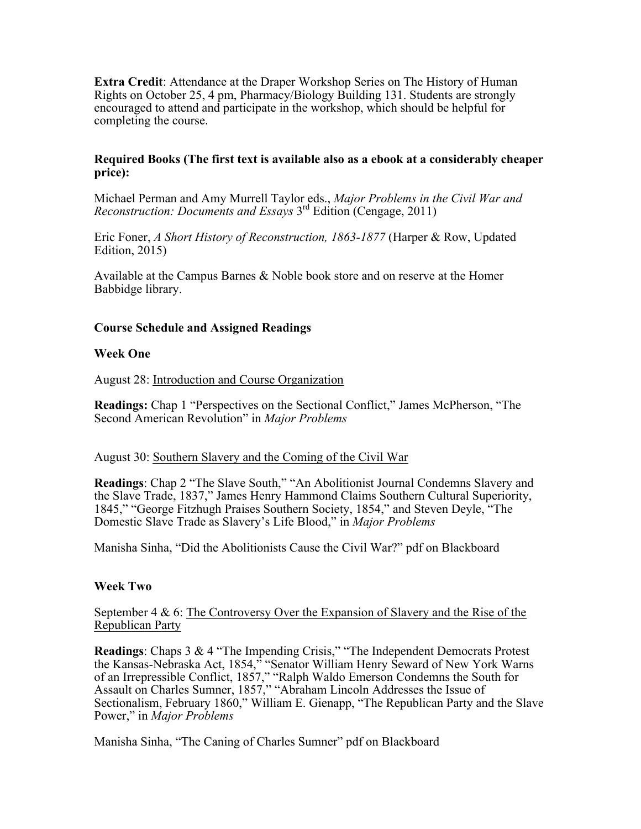**Extra Credit**: Attendance at the Draper Workshop Series on The History of Human Rights on October 25, 4 pm, Pharmacy/Biology Building 131. Students are strongly encouraged to attend and participate in the workshop, which should be helpful for completing the course.

#### **Required Books (The first text is available also as a ebook at a considerably cheaper price):**

Michael Perman and Amy Murrell Taylor eds., *Major Problems in the Civil War and Reconstruction: Documents and Essays* 3rd Edition (Cengage, 2011)

Eric Foner, *A Short History of Reconstruction, 1863-1877* (Harper & Row, Updated Edition, 2015)

Available at the Campus Barnes & Noble book store and on reserve at the Homer Babbidge library.

## **Course Schedule and Assigned Readings**

#### **Week One**

August 28: Introduction and Course Organization

**Readings:** Chap 1 "Perspectives on the Sectional Conflict," James McPherson, "The Second American Revolution" in *Major Problems*

#### August 30: Southern Slavery and the Coming of the Civil War

**Readings**: Chap 2 "The Slave South," "An Abolitionist Journal Condemns Slavery and the Slave Trade, 1837," James Henry Hammond Claims Southern Cultural Superiority, 1845," "George Fitzhugh Praises Southern Society, 1854," and Steven Deyle, "The Domestic Slave Trade as Slavery's Life Blood," in *Major Problems*

Manisha Sinha, "Did the Abolitionists Cause the Civil War?" pdf on Blackboard

## **Week Two**

September 4 & 6: The Controversy Over the Expansion of Slavery and the Rise of the Republican Party

**Readings**: Chaps 3 & 4 "The Impending Crisis," "The Independent Democrats Protest the Kansas-Nebraska Act, 1854," "Senator William Henry Seward of New York Warns of an Irrepressible Conflict, 1857," "Ralph Waldo Emerson Condemns the South for Assault on Charles Sumner, 1857," "Abraham Lincoln Addresses the Issue of Sectionalism, February 1860," William E. Gienapp, "The Republican Party and the Slave Power," in *Major Problems*

Manisha Sinha, "The Caning of Charles Sumner" pdf on Blackboard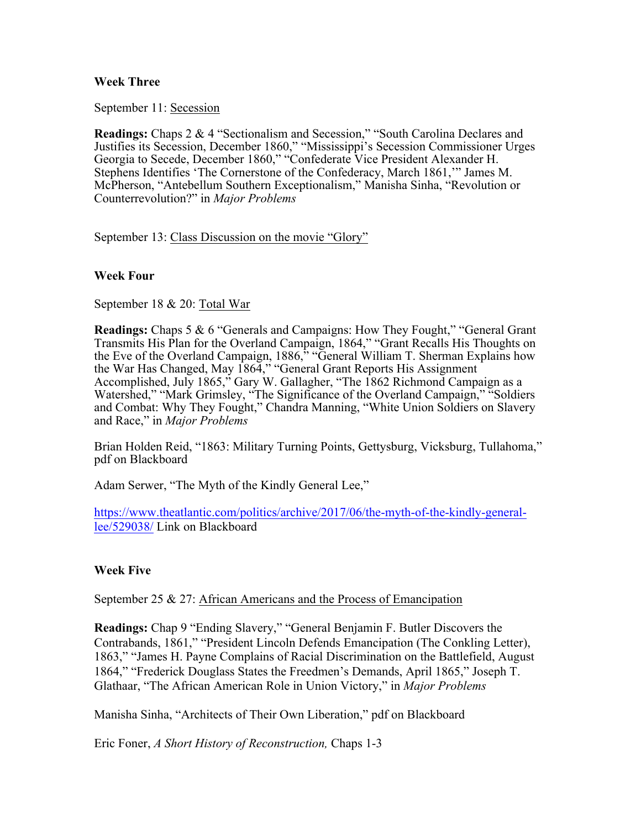## **Week Three**

September 11: Secession

**Readings:** Chaps 2 & 4 "Sectionalism and Secession," "South Carolina Declares and Justifies its Secession, December 1860," "Mississippi's Secession Commissioner Urges Georgia to Secede, December 1860," "Confederate Vice President Alexander H. Stephens Identifies 'The Cornerstone of the Confederacy, March 1861,'" James M. McPherson, "Antebellum Southern Exceptionalism," Manisha Sinha, "Revolution or Counterrevolution?" in *Major Problems*

September 13: Class Discussion on the movie "Glory"

## **Week Four**

September 18 & 20: Total War

**Readings:** Chaps 5 & 6 "Generals and Campaigns: How They Fought," "General Grant Transmits His Plan for the Overland Campaign, 1864," "Grant Recalls His Thoughts on the Eve of the Overland Campaign, 1886," "General William T. Sherman Explains how the War Has Changed, May 1864," "General Grant Reports His Assignment Accomplished, July 1865," Gary W. Gallagher, "The 1862 Richmond Campaign as a Watershed," "Mark Grimsley, "The Significance of the Overland Campaign," "Soldiers and Combat: Why They Fought," Chandra Manning, "White Union Soldiers on Slavery and Race," in *Major Problems*

Brian Holden Reid, "1863: Military Turning Points, Gettysburg, Vicksburg, Tullahoma," pdf on Blackboard

Adam Serwer, "The Myth of the Kindly General Lee,"

https://www.theatlantic.com/politics/archive/2017/06/the-myth-of-the-kindly-generallee/529038/ Link on Blackboard

# **Week Five**

September 25 & 27: African Americans and the Process of Emancipation

**Readings:** Chap 9 "Ending Slavery," "General Benjamin F. Butler Discovers the Contrabands, 1861," "President Lincoln Defends Emancipation (The Conkling Letter), 1863," "James H. Payne Complains of Racial Discrimination on the Battlefield, August 1864," "Frederick Douglass States the Freedmen's Demands, April 1865," Joseph T. Glathaar, "The African American Role in Union Victory," in *Major Problems*

Manisha Sinha, "Architects of Their Own Liberation," pdf on Blackboard

Eric Foner, *A Short History of Reconstruction,* Chaps 1-3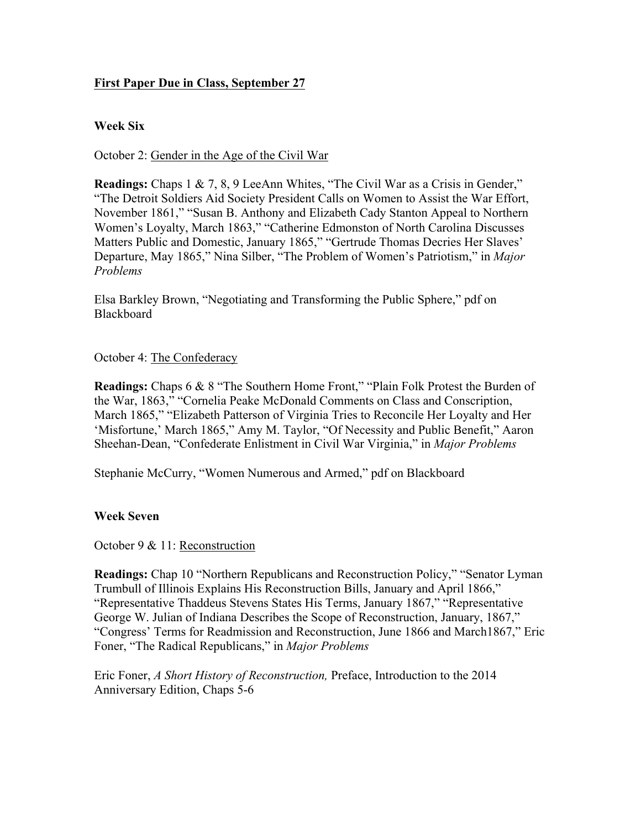# **First Paper Due in Class, September 27**

## **Week Six**

October 2: Gender in the Age of the Civil War

**Readings:** Chaps 1 & 7, 8, 9 LeeAnn Whites, "The Civil War as a Crisis in Gender," "The Detroit Soldiers Aid Society President Calls on Women to Assist the War Effort, November 1861," "Susan B. Anthony and Elizabeth Cady Stanton Appeal to Northern Women's Loyalty, March 1863," "Catherine Edmonston of North Carolina Discusses Matters Public and Domestic, January 1865," "Gertrude Thomas Decries Her Slaves' Departure, May 1865," Nina Silber, "The Problem of Women's Patriotism," in *Major Problems*

Elsa Barkley Brown, "Negotiating and Transforming the Public Sphere," pdf on **Blackboard** 

## October 4: The Confederacy

**Readings:** Chaps 6 & 8 "The Southern Home Front," "Plain Folk Protest the Burden of the War, 1863," "Cornelia Peake McDonald Comments on Class and Conscription, March 1865," "Elizabeth Patterson of Virginia Tries to Reconcile Her Loyalty and Her 'Misfortune,' March 1865," Amy M. Taylor, "Of Necessity and Public Benefit," Aaron Sheehan-Dean, "Confederate Enlistment in Civil War Virginia," in *Major Problems*

Stephanie McCurry, "Women Numerous and Armed," pdf on Blackboard

## **Week Seven**

October 9 & 11: Reconstruction

**Readings:** Chap 10 "Northern Republicans and Reconstruction Policy," "Senator Lyman Trumbull of Illinois Explains His Reconstruction Bills, January and April 1866," "Representative Thaddeus Stevens States His Terms, January 1867," "Representative George W. Julian of Indiana Describes the Scope of Reconstruction, January, 1867," "Congress' Terms for Readmission and Reconstruction, June 1866 and March1867," Eric Foner, "The Radical Republicans," in *Major Problems*

Eric Foner, *A Short History of Reconstruction,* Preface, Introduction to the 2014 Anniversary Edition, Chaps 5-6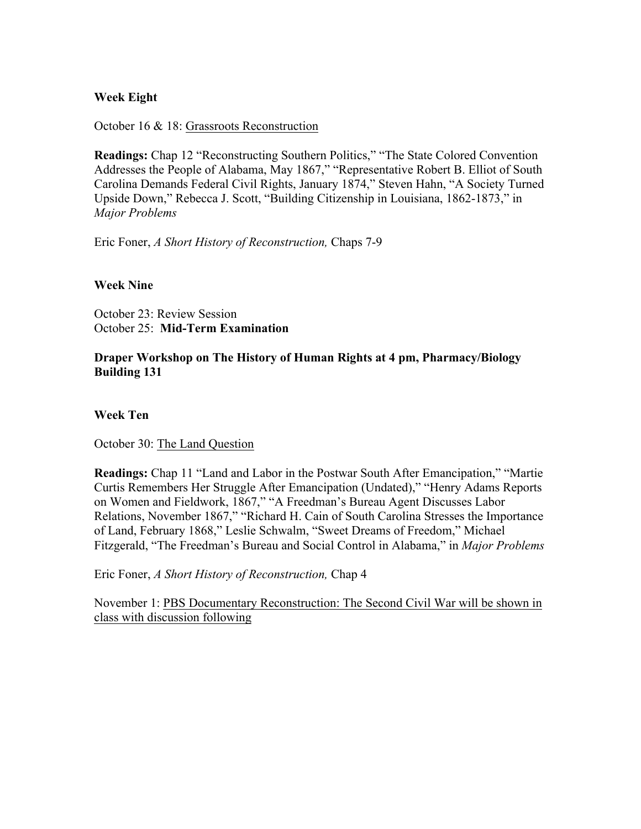## **Week Eight**

October 16 & 18: Grassroots Reconstruction

**Readings:** Chap 12 "Reconstructing Southern Politics," "The State Colored Convention Addresses the People of Alabama, May 1867," "Representative Robert B. Elliot of South Carolina Demands Federal Civil Rights, January 1874," Steven Hahn, "A Society Turned Upside Down," Rebecca J. Scott, "Building Citizenship in Louisiana, 1862-1873," in *Major Problems*

Eric Foner, *A Short History of Reconstruction,* Chaps 7-9

## **Week Nine**

October 23: Review Session October 25: **Mid-Term Examination**

## **Draper Workshop on The History of Human Rights at 4 pm, Pharmacy/Biology Building 131**

#### **Week Ten**

October 30: The Land Question

**Readings:** Chap 11 "Land and Labor in the Postwar South After Emancipation," "Martie Curtis Remembers Her Struggle After Emancipation (Undated)," "Henry Adams Reports on Women and Fieldwork, 1867," "A Freedman's Bureau Agent Discusses Labor Relations, November 1867," "Richard H. Cain of South Carolina Stresses the Importance of Land, February 1868," Leslie Schwalm, "Sweet Dreams of Freedom," Michael Fitzgerald, "The Freedman's Bureau and Social Control in Alabama," in *Major Problems*

Eric Foner, *A Short History of Reconstruction,* Chap 4

November 1: PBS Documentary Reconstruction: The Second Civil War will be shown in class with discussion following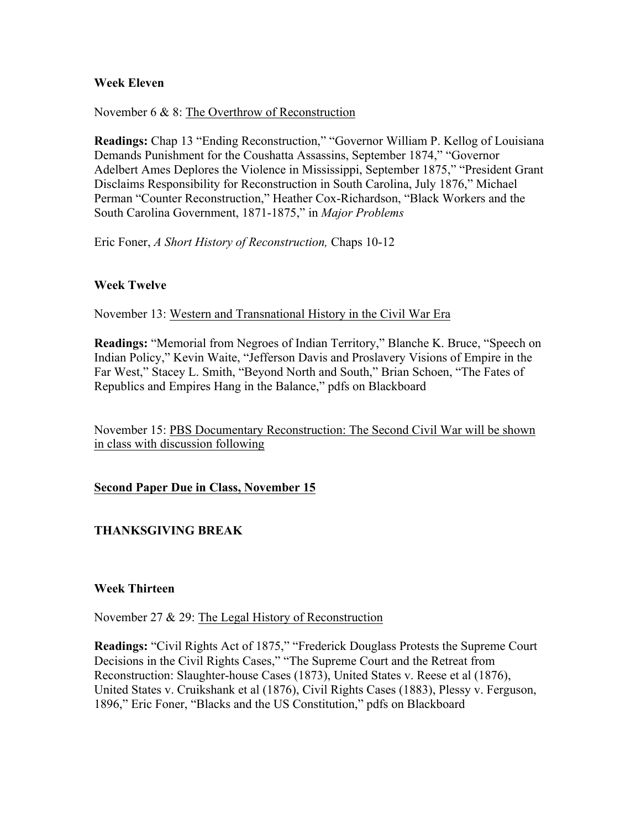## **Week Eleven**

## November 6 & 8: The Overthrow of Reconstruction

**Readings:** Chap 13 "Ending Reconstruction," "Governor William P. Kellog of Louisiana Demands Punishment for the Coushatta Assassins, September 1874," "Governor Adelbert Ames Deplores the Violence in Mississippi, September 1875," "President Grant Disclaims Responsibility for Reconstruction in South Carolina, July 1876," Michael Perman "Counter Reconstruction," Heather Cox-Richardson, "Black Workers and the South Carolina Government, 1871-1875," in *Major Problems*

Eric Foner, *A Short History of Reconstruction,* Chaps 10-12

## **Week Twelve**

November 13: Western and Transnational History in the Civil War Era

**Readings:** "Memorial from Negroes of Indian Territory," Blanche K. Bruce, "Speech on Indian Policy," Kevin Waite, "Jefferson Davis and Proslavery Visions of Empire in the Far West," Stacey L. Smith, "Beyond North and South," Brian Schoen, "The Fates of Republics and Empires Hang in the Balance," pdfs on Blackboard

November 15: PBS Documentary Reconstruction: The Second Civil War will be shown in class with discussion following

**Second Paper Due in Class, November 15**

# **THANKSGIVING BREAK**

## **Week Thirteen**

November 27 & 29: The Legal History of Reconstruction

**Readings:** "Civil Rights Act of 1875," "Frederick Douglass Protests the Supreme Court Decisions in the Civil Rights Cases," "The Supreme Court and the Retreat from Reconstruction: Slaughter-house Cases (1873), United States v. Reese et al (1876), United States v. Cruikshank et al (1876), Civil Rights Cases (1883), Plessy v. Ferguson, 1896," Eric Foner, "Blacks and the US Constitution," pdfs on Blackboard